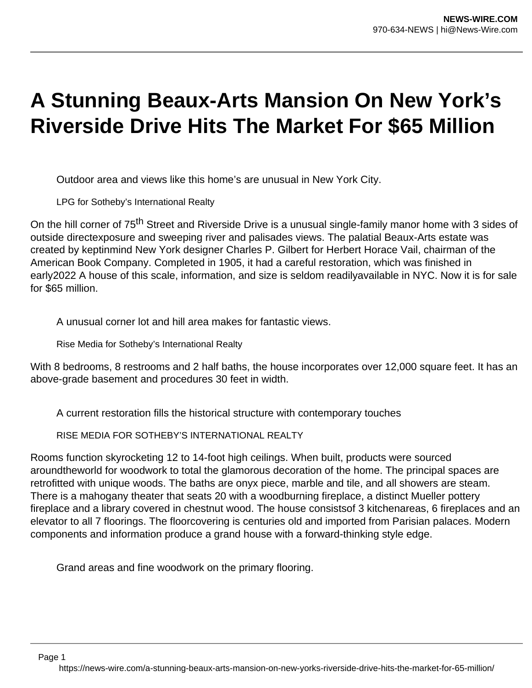## **A Stunning Beaux-Arts Mansion On New York's Riverside Drive Hits The Market For \$65 Million**

Outdoor area and views like this home's are unusual in New York City.

LPG for Sotheby's International Realty

On the hill corner of 75<sup>th</sup> Street and Riverside Drive is a unusual single-family manor home with 3 sides of outside directexposure and sweeping river and palisades views. The palatial Beaux-Arts estate was created by keptinmind New York designer Charles P. Gilbert for Herbert Horace Vail, chairman of the American Book Company. Completed in 1905, it had a careful restoration, which was finished in early2022 A house of this scale, information, and size is seldom readilyavailable in NYC. Now it is for sale for \$65 million.

A unusual corner lot and hill area makes for fantastic views.

Rise Media for Sotheby's International Realty

With 8 bedrooms, 8 restrooms and 2 half baths, the house incorporates over 12,000 square feet. It has an above-grade basement and procedures 30 feet in width.

A current restoration fills the historical structure with contemporary touches

RISE MEDIA FOR SOTHEBY'S INTERNATIONAL REALTY

Rooms function skyrocketing 12 to 14-foot high ceilings. When built, products were sourced aroundtheworld for woodwork to total the glamorous decoration of the home. The principal spaces are retrofitted with unique woods. The baths are onyx piece, marble and tile, and all showers are steam. There is a mahogany theater that seats 20 with a woodburning fireplace, a distinct Mueller pottery fireplace and a library covered in chestnut wood. The house consistsof 3 kitchenareas, 6 fireplaces and an elevator to all 7 floorings. The floorcovering is centuries old and imported from Parisian palaces. Modern components and information produce a grand house with a forward-thinking style edge.

Grand areas and fine woodwork on the primary flooring.

Page 1